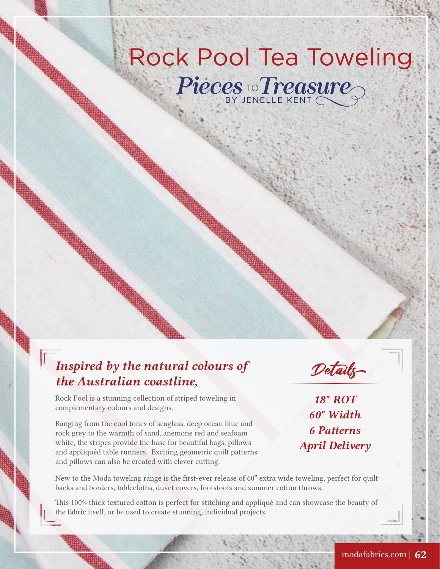## **Rock Pool Tea Toweling** Pieces To Treasure

## *Inspired by the natural colours of the Australian coastline,*



Rock Pool is a stunning collection of striped toweling in complementary colours and designs.

Ranging from the cool tones of seaglass, deep ocean blue and rock grey to the warmth of sand, anemone red and seafoam white, the stripes provide the base for beautiful bags, pillows and appliquéd table runners. Exciting geometric quilt patterns and pillows can also be created with clever cutting.

*18" ROT 60" Width 6 Patterns April Delivery*

New to the Moda toweling range is the first-ever release of 60" extra wide toweling, perfect for quilt backs and borders, tablecloths, duvet covers, footstools and summer cotton throws.

This 100% thick textured cotton is perfect for stitching and appliqué and can showcase the beauty of the fabric itself, or be used to create stunning, individual projects.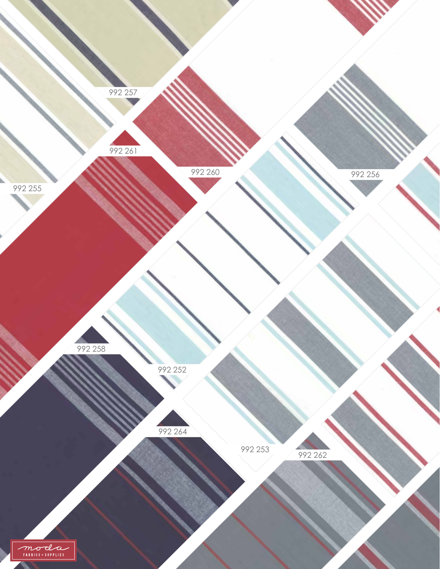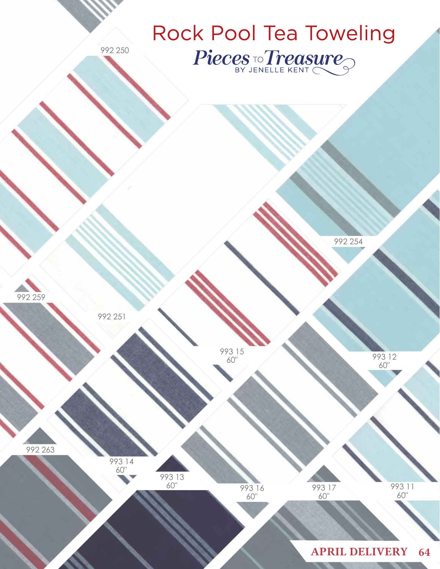

992 250